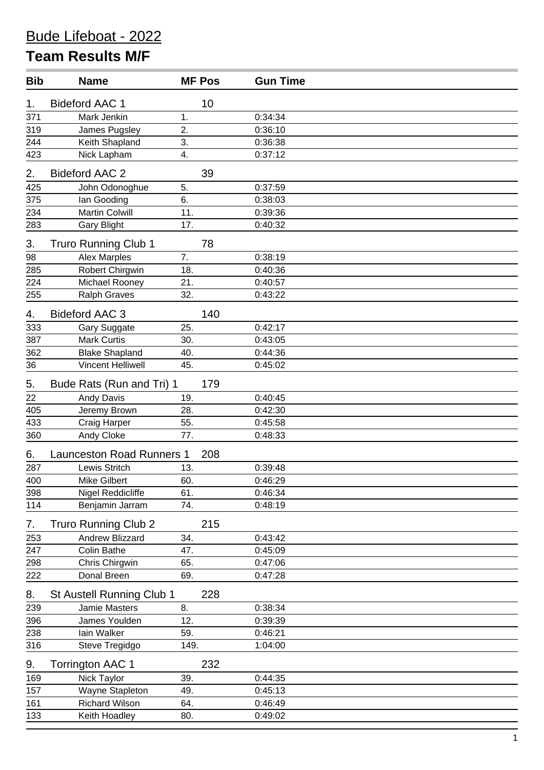## **Team Results M/F**

| <b>Bib</b> | <b>Name</b>                      | <b>MF Pos</b> | <b>Gun Time</b> |  |
|------------|----------------------------------|---------------|-----------------|--|
| 1.         | <b>Bideford AAC 1</b>            | 10            |                 |  |
| 371        | Mark Jenkin                      | 1.            | 0:34:34         |  |
| 319        | James Pugsley                    | 2.            | 0:36:10         |  |
| 244        | Keith Shapland                   | 3.            | 0:36:38         |  |
| 423        | Nick Lapham                      | 4.            | 0:37:12         |  |
| 2.         | <b>Bideford AAC 2</b>            | 39            |                 |  |
| 425        | John Odonoghue                   | 5.            | 0:37:59         |  |
| 375        | Ian Gooding                      | 6.            | 0:38:03         |  |
| 234        | <b>Martin Colwill</b>            | 11.           | 0:39:36         |  |
| 283        | <b>Gary Blight</b>               | 17.           | 0:40:32         |  |
| 3.         | <b>Truro Running Club 1</b>      | 78            |                 |  |
| 98         | <b>Alex Marples</b>              | 7.            | 0:38:19         |  |
| 285        | <b>Robert Chirgwin</b>           | 18.           | 0:40:36         |  |
| 224        | Michael Rooney                   | 21.           | 0:40:57         |  |
| 255        | <b>Ralph Graves</b>              | 32.           | 0:43:22         |  |
| 4.         | <b>Bideford AAC 3</b>            | 140           |                 |  |
| 333        | <b>Gary Suggate</b>              | 25.           | 0:42:17         |  |
| 387        | <b>Mark Curtis</b>               | 30.           | 0:43:05         |  |
| 362        | <b>Blake Shapland</b>            | 40.           | 0:44:36         |  |
| 36         | <b>Vincent Helliwell</b>         | 45.           | 0:45:02         |  |
| 5.         | Bude Rats (Run and Tri) 1        | 179           |                 |  |
| 22         | Andy Davis                       | 19.           | 0:40:45         |  |
| 405        | Jeremy Brown                     | 28.           | 0:42:30         |  |
| 433        | Craig Harper                     | 55.           | 0:45:58         |  |
| 360        | Andy Cloke                       | 77.           | 0:48:33         |  |
| 6.         | <b>Launceston Road Runners 1</b> | 208           |                 |  |
| 287        | Lewis Stritch                    | 13.           | 0:39:48         |  |
| 400        | <b>Mike Gilbert</b>              | 60.           | 0:46:29         |  |
| 398        | Nigel Reddicliffe                | 61.           | 0:46:34         |  |
| 114        | Benjamin Jarram                  | 74.           | 0:48:19         |  |
| 7.         | <b>Truro Running Club 2</b>      | 215           |                 |  |
| 253        | Andrew Blizzard                  | 34.           | 0:43:42         |  |
| 247        | <b>Colin Bathe</b>               | 47.           | 0:45:09         |  |
| 298        | Chris Chirgwin                   | 65.           | 0:47:06         |  |
| 222        | Donal Breen                      | 69.           | 0:47:28         |  |
| 8.         | St Austell Running Club 1        | 228           |                 |  |
| 239        | Jamie Masters                    | 8.            | 0:38:34         |  |
| 396        | James Youlden                    | 12.           | 0:39:39         |  |
| 238        | lain Walker                      | 59.           | 0:46:21         |  |
| 316        | Steve Tregidgo                   | 149.          | 1:04:00         |  |
| 9.         | <b>Torrington AAC 1</b>          | 232           |                 |  |
| 169        | Nick Taylor                      | 39.           | 0:44:35         |  |
| 157        | Wayne Stapleton                  | 49.           | 0:45:13         |  |
| 161        | <b>Richard Wilson</b>            | 64.           | 0:46:49         |  |
| 133        | Keith Hoadley                    | 80.           | 0:49:02         |  |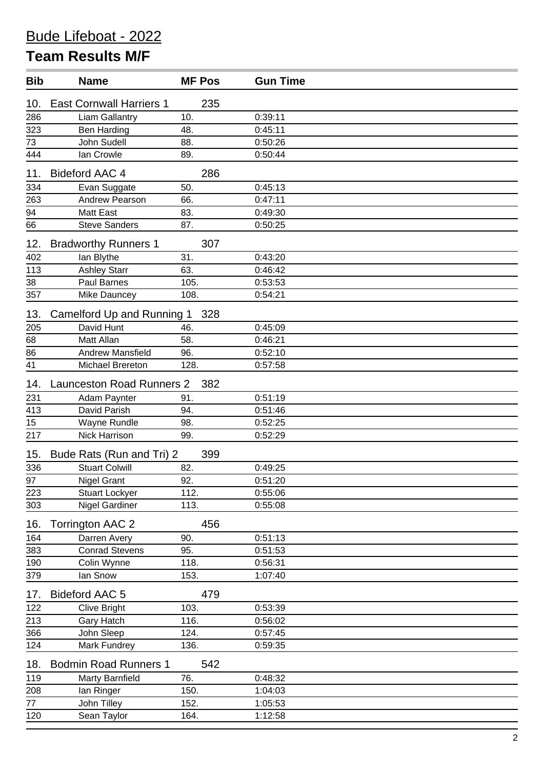## Bude Lifeboat - 2022

## **Team Results M/F**

| <b>Bib</b>       | <b>Name</b>                      | <b>MF Pos</b> | <b>Gun Time</b> |  |
|------------------|----------------------------------|---------------|-----------------|--|
| 10.              | <b>East Cornwall Harriers 1</b>  | 235           |                 |  |
| 286              | <b>Liam Gallantry</b>            | 10.           | 0:39:11         |  |
| 323              | <b>Ben Harding</b>               | 48.           | 0:45:11         |  |
| 73               | John Sudell                      | 88.           | 0:50:26         |  |
| 444              | Ian Crowle                       | 89.           | 0:50:44         |  |
| 11.              | <b>Bideford AAC 4</b>            | 286           |                 |  |
| 334              | Evan Suggate                     | 50.           | 0:45:13         |  |
| 263              | Andrew Pearson                   | 66.           | 0:47:11         |  |
| 94               | <b>Matt East</b>                 | 83.           | 0:49:30         |  |
| 66               | <b>Steve Sanders</b>             | 87.           | 0:50:25         |  |
| 12.              | <b>Bradworthy Runners 1</b>      | 307           |                 |  |
| 402              | lan Blythe                       | 31.           | 0:43:20         |  |
| 113              | <b>Ashley Starr</b>              | 63.           | 0:46:42         |  |
| 38               | Paul Barnes                      | 105.          | 0:53:53         |  |
| 357              | Mike Dauncey                     | 108.          | 0:54:21         |  |
| 13.              | Camelford Up and Running 1       | 328           |                 |  |
| 205              | David Hunt                       | 46.           | 0:45:09         |  |
| $\underline{68}$ | Matt Allan                       | 58.           | 0:46:21         |  |
| 86               | <b>Andrew Mansfield</b>          | 96.           | 0:52:10         |  |
| 41               | <b>Michael Brereton</b>          | 128.          | 0:57:58         |  |
| 14.              | <b>Launceston Road Runners 2</b> | 382           |                 |  |
| 231              | Adam Paynter                     | 91.           | 0:51:19         |  |
| $\overline{413}$ | David Parish                     | 94.           | 0:51:46         |  |
| 15               | Wayne Rundle                     | 98.           | 0:52:25         |  |
| 217              | Nick Harrison                    | 99.           | 0:52:29         |  |
| 15.              | Bude Rats (Run and Tri) 2        | 399           |                 |  |
| 336              | <b>Stuart Colwill</b>            | 82.           | 0:49:25         |  |
| 97               | <b>Nigel Grant</b>               | 92.           | 0:51:20         |  |
| 223              | <b>Stuart Lockyer</b>            | 112.          | 0:55:06         |  |
| 303              | <b>Nigel Gardiner</b>            | 113.          | 0:55:08         |  |
| 16.              | <b>Torrington AAC 2</b>          | 456           |                 |  |
| 164              | Darren Avery                     | 90.           | 0:51:13         |  |
| 383              | <b>Conrad Stevens</b>            | 95.           | 0:51:53         |  |
| 190              | Colin Wynne                      | 118.          | 0:56:31         |  |
| 379              | lan Snow                         | 153.          | 1:07:40         |  |
| 17.              | <b>Bideford AAC 5</b>            | 479           |                 |  |
| 122              | <b>Clive Bright</b>              | 103.          | 0:53:39         |  |
| 213              | Gary Hatch                       | 116.          | 0:56:02         |  |
| 366              | John Sleep                       | 124.          | 0:57:45         |  |
| 124              | Mark Fundrey                     | 136.          | 0:59:35         |  |
| 18.              | <b>Bodmin Road Runners 1</b>     | 542           |                 |  |
| 119              | Marty Barnfield                  | 76.           | 0:48:32         |  |
| 208              | lan Ringer                       | 150.          | 1:04:03         |  |
| 77               | John Tilley                      | 152.          | 1:05:53         |  |
| 120              | Sean Taylor                      | 164.          | 1:12:58         |  |